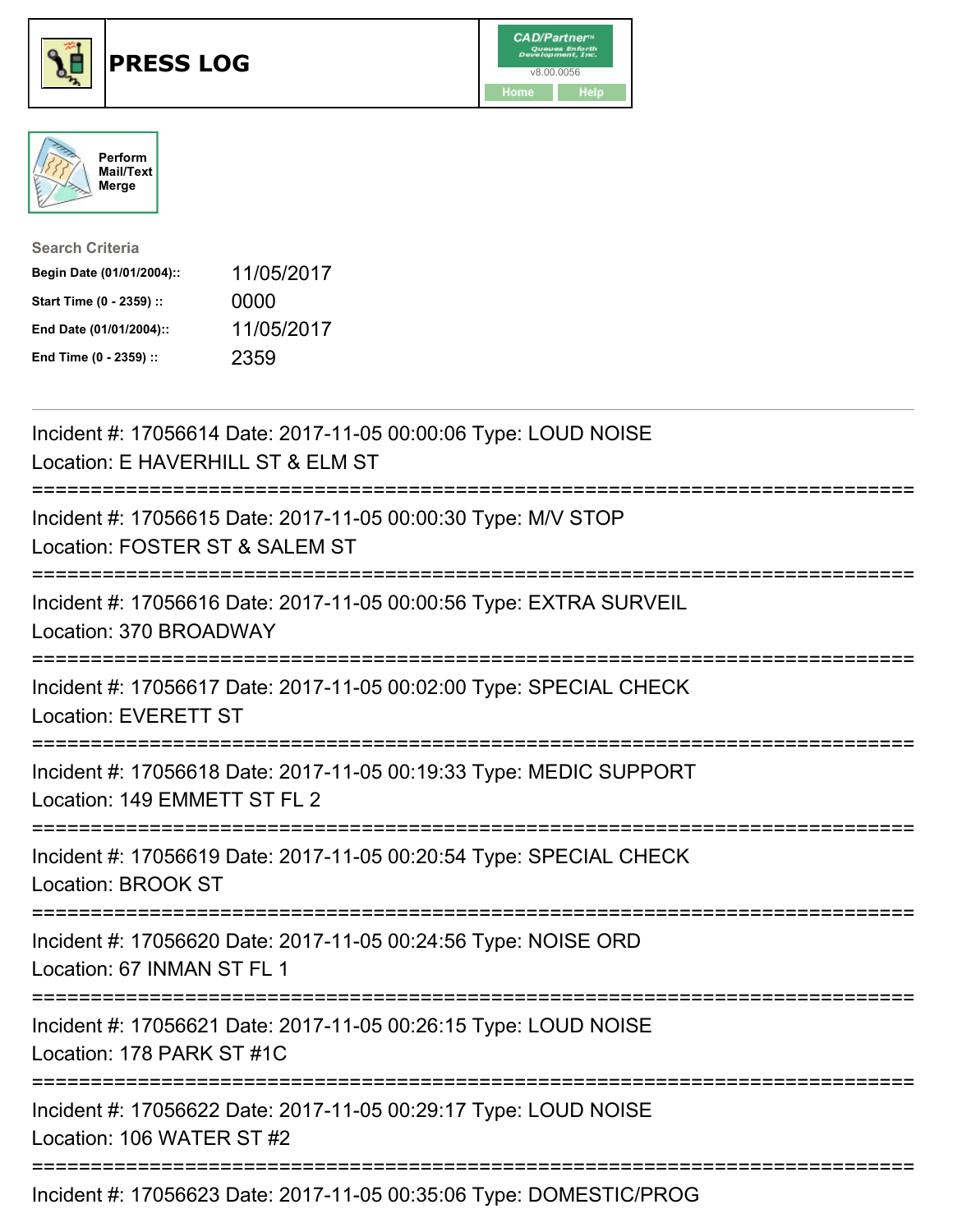





| <b>Search Criteria</b>    |            |
|---------------------------|------------|
| Begin Date (01/01/2004):: | 11/05/2017 |
| Start Time (0 - 2359) ::  | 0000       |
| End Date (01/01/2004)::   | 11/05/2017 |
| End Time (0 - 2359) ::    | 2359       |

| Incident #: 17056614 Date: 2017-11-05 00:00:06 Type: LOUD NOISE<br>Location: E HAVERHILL ST & ELM ST |
|------------------------------------------------------------------------------------------------------|
| Incident #: 17056615 Date: 2017-11-05 00:00:30 Type: M/V STOP<br>Location: FOSTER ST & SALEM ST      |
| Incident #: 17056616 Date: 2017-11-05 00:00:56 Type: EXTRA SURVEIL<br>Location: 370 BROADWAY         |
| Incident #: 17056617 Date: 2017-11-05 00:02:00 Type: SPECIAL CHECK<br><b>Location: EVERETT ST</b>    |
| Incident #: 17056618 Date: 2017-11-05 00:19:33 Type: MEDIC SUPPORT<br>Location: 149 EMMETT ST FL 2   |
| Incident #: 17056619 Date: 2017-11-05 00:20:54 Type: SPECIAL CHECK<br><b>Location: BROOK ST</b>      |
| Incident #: 17056620 Date: 2017-11-05 00:24:56 Type: NOISE ORD<br>Location: 67 INMAN ST FL 1         |
| Incident #: 17056621 Date: 2017-11-05 00:26:15 Type: LOUD NOISE<br>Location: 178 PARK ST #1C         |
| Incident #: 17056622 Date: 2017-11-05 00:29:17 Type: LOUD NOISE<br>Location: 106 WATER ST #2         |
| Incident #: 17056623 Date: 2017-11-05 00:35:06 Type: DOMESTIC/PROG                                   |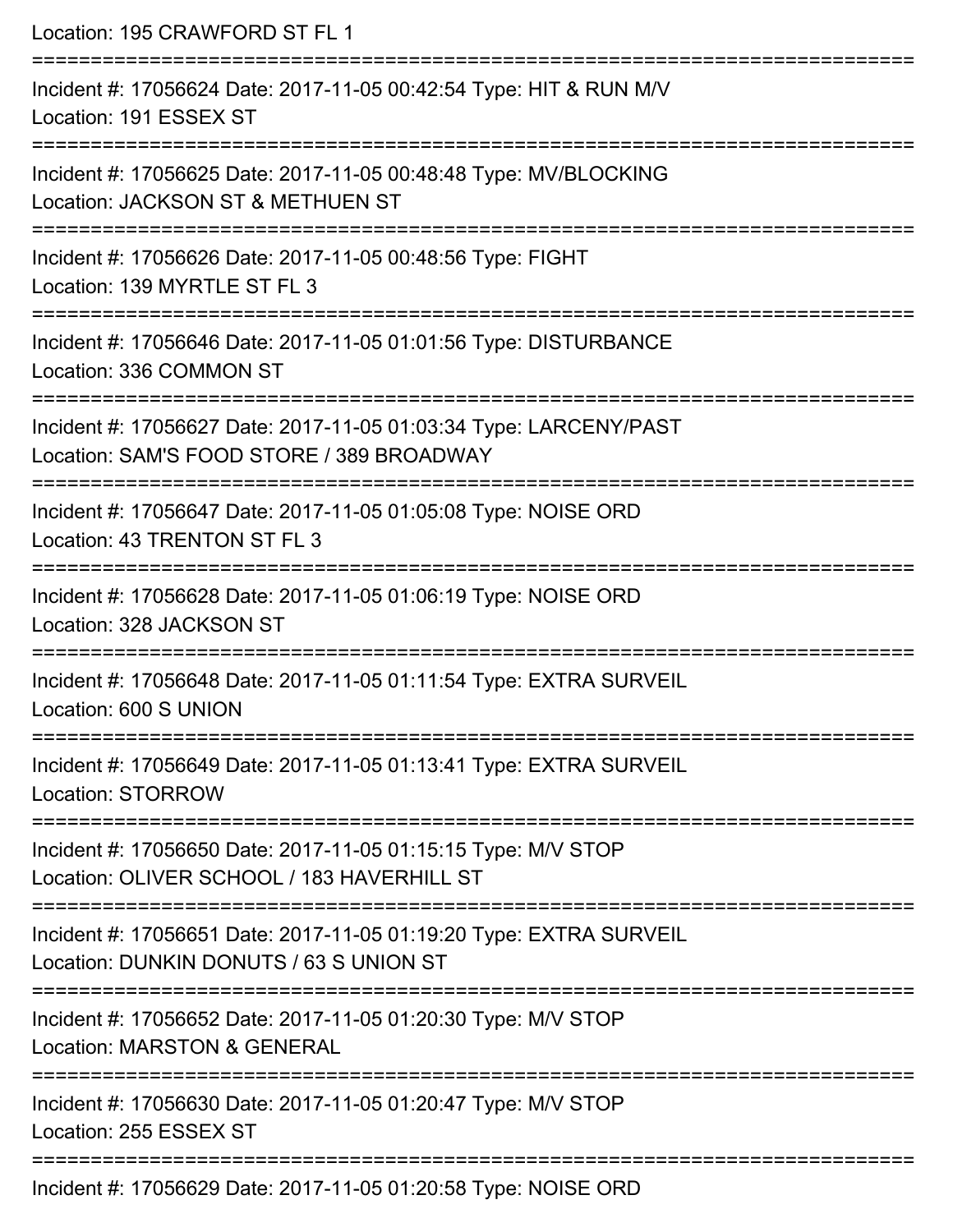| Location: 195 CRAWFORD ST FL 1                                                                                                                                            |
|---------------------------------------------------------------------------------------------------------------------------------------------------------------------------|
| Incident #: 17056624 Date: 2017-11-05 00:42:54 Type: HIT & RUN M/V<br>Location: 191 ESSEX ST<br>===============================                                           |
| Incident #: 17056625 Date: 2017-11-05 00:48:48 Type: MV/BLOCKING<br>Location: JACKSON ST & METHUEN ST                                                                     |
| Incident #: 17056626 Date: 2017-11-05 00:48:56 Type: FIGHT<br>Location: 139 MYRTLE ST FL 3                                                                                |
| Incident #: 17056646 Date: 2017-11-05 01:01:56 Type: DISTURBANCE<br>Location: 336 COMMON ST                                                                               |
| Incident #: 17056627 Date: 2017-11-05 01:03:34 Type: LARCENY/PAST<br>Location: SAM'S FOOD STORE / 389 BROADWAY<br>=======================<br>.--------------------------- |
| Incident #: 17056647 Date: 2017-11-05 01:05:08 Type: NOISE ORD<br>Location: 43 TRENTON ST FL 3                                                                            |
| Incident #: 17056628 Date: 2017-11-05 01:06:19 Type: NOISE ORD<br>Location: 328 JACKSON ST                                                                                |
| Incident #: 17056648 Date: 2017-11-05 01:11:54 Type: EXTRA SURVEIL<br>Location: 600 S UNION                                                                               |
| Incident #: 17056649 Date: 2017-11-05 01:13:41 Type: EXTRA SURVEIL<br><b>Location: STORROW</b>                                                                            |
| Incident #: 17056650 Date: 2017-11-05 01:15:15 Type: M/V STOP<br>Location: OLIVER SCHOOL / 183 HAVERHILL ST                                                               |
| Incident #: 17056651 Date: 2017-11-05 01:19:20 Type: EXTRA SURVEIL<br>Location: DUNKIN DONUTS / 63 S UNION ST                                                             |
| Incident #: 17056652 Date: 2017-11-05 01:20:30 Type: M/V STOP<br><b>Location: MARSTON &amp; GENERAL</b>                                                                   |
| Incident #: 17056630 Date: 2017-11-05 01:20:47 Type: M/V STOP<br>Location: 255 ESSEX ST                                                                                   |
| Incident #: 17056629 Date: 2017-11-05 01:20:58 Type: NOISE ORD                                                                                                            |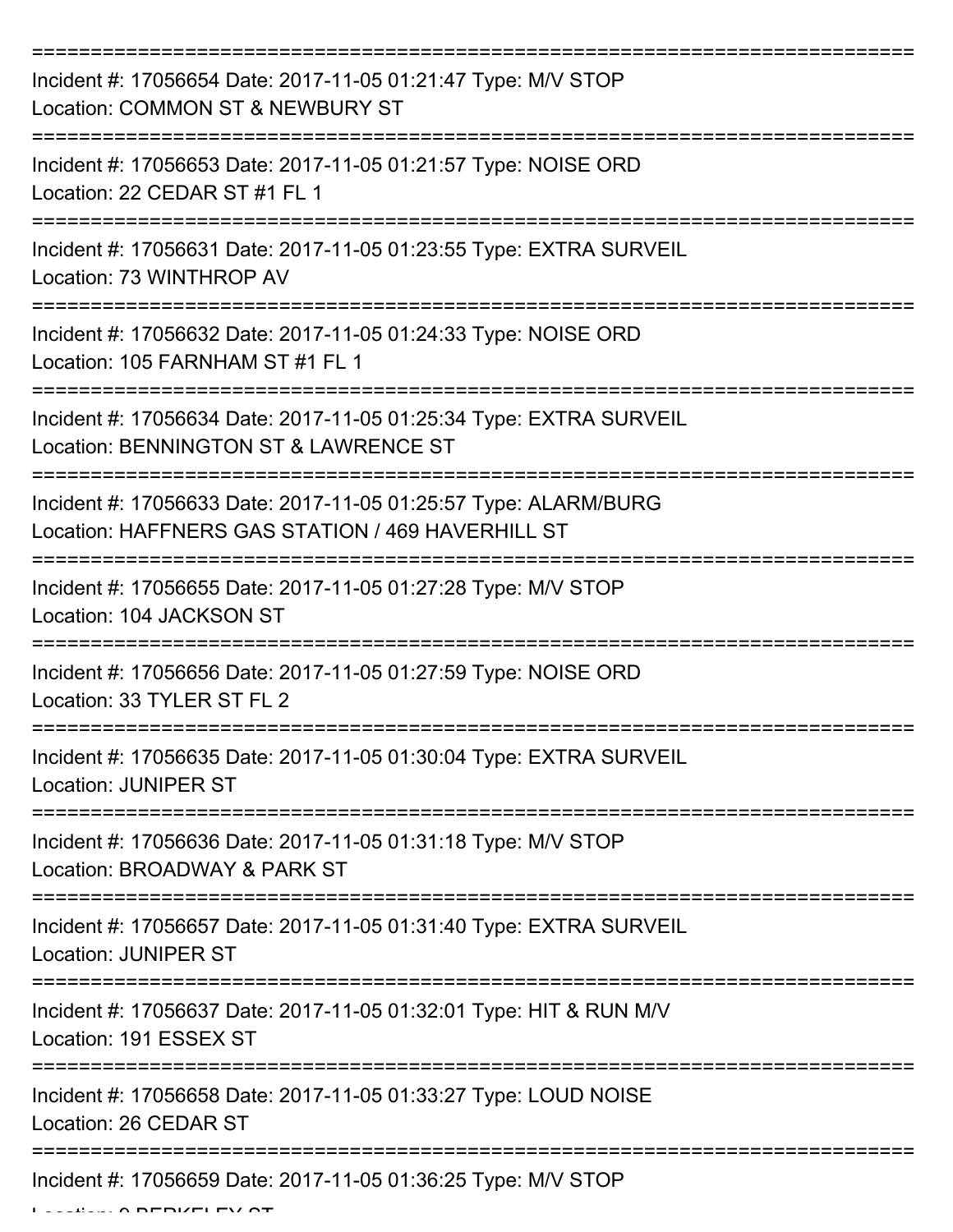| Incident #: 17056654 Date: 2017-11-05 01:21:47 Type: M/V STOP<br>Location: COMMON ST & NEWBURY ST                    |
|----------------------------------------------------------------------------------------------------------------------|
| Incident #: 17056653 Date: 2017-11-05 01:21:57 Type: NOISE ORD<br>Location: 22 CEDAR ST #1 FL 1                      |
| Incident #: 17056631 Date: 2017-11-05 01:23:55 Type: EXTRA SURVEIL<br>Location: 73 WINTHROP AV                       |
| Incident #: 17056632 Date: 2017-11-05 01:24:33 Type: NOISE ORD<br>Location: 105 FARNHAM ST #1 FL 1                   |
| Incident #: 17056634 Date: 2017-11-05 01:25:34 Type: EXTRA SURVEIL<br>Location: BENNINGTON ST & LAWRENCE ST          |
| Incident #: 17056633 Date: 2017-11-05 01:25:57 Type: ALARM/BURG<br>Location: HAFFNERS GAS STATION / 469 HAVERHILL ST |
| Incident #: 17056655 Date: 2017-11-05 01:27:28 Type: M/V STOP<br>Location: 104 JACKSON ST                            |
| Incident #: 17056656 Date: 2017-11-05 01:27:59 Type: NOISE ORD<br>Location: 33 TYLER ST FL 2                         |
| Incident #: 17056635 Date: 2017-11-05 01:30:04 Type: EXTRA SURVEIL<br><b>Location: JUNIPER ST</b>                    |
| Incident #: 17056636 Date: 2017-11-05 01:31:18 Type: M/V STOP<br>Location: BROADWAY & PARK ST                        |
| Incident #: 17056657 Date: 2017-11-05 01:31:40 Type: EXTRA SURVEIL<br><b>Location: JUNIPER ST</b>                    |
| Incident #: 17056637 Date: 2017-11-05 01:32:01 Type: HIT & RUN M/V<br>Location: 191 ESSEX ST                         |
| Incident #: 17056658 Date: 2017-11-05 01:33:27 Type: LOUD NOISE<br>Location: 26 CEDAR ST                             |
| Incident #: 17056659 Date: 2017-11-05 01:36:25 Type: M/V STOP                                                        |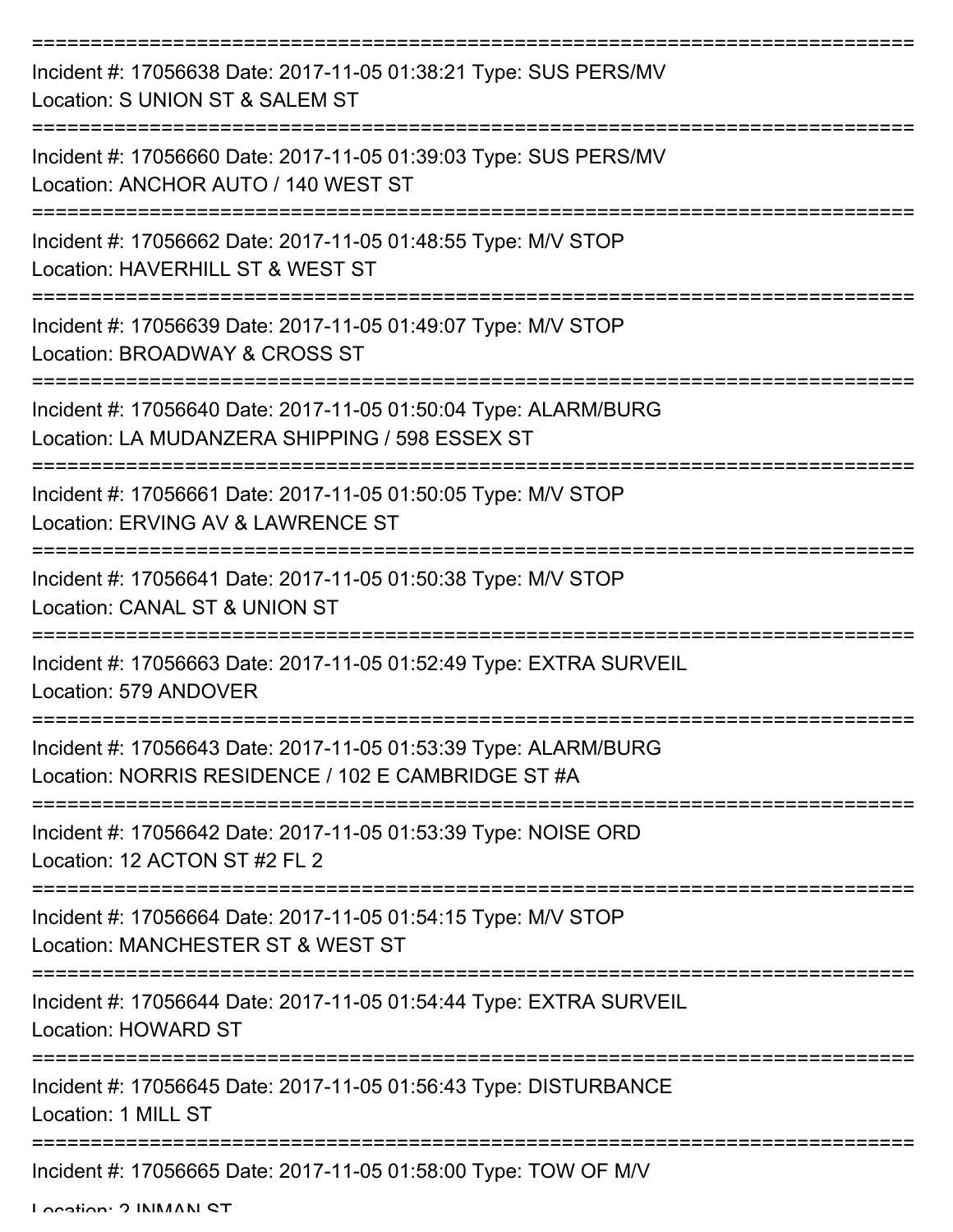| Incident #: 17056638 Date: 2017-11-05 01:38:21 Type: SUS PERS/MV<br>Location: S UNION ST & SALEM ST                   |
|-----------------------------------------------------------------------------------------------------------------------|
| Incident #: 17056660 Date: 2017-11-05 01:39:03 Type: SUS PERS/MV<br>Location: ANCHOR AUTO / 140 WEST ST               |
| Incident #: 17056662 Date: 2017-11-05 01:48:55 Type: M/V STOP<br>Location: HAVERHILL ST & WEST ST                     |
| Incident #: 17056639 Date: 2017-11-05 01:49:07 Type: M/V STOP<br>Location: BROADWAY & CROSS ST                        |
| Incident #: 17056640 Date: 2017-11-05 01:50:04 Type: ALARM/BURG<br>Location: LA MUDANZERA SHIPPING / 598 ESSEX ST     |
| Incident #: 17056661 Date: 2017-11-05 01:50:05 Type: M/V STOP<br>Location: ERVING AV & LAWRENCE ST                    |
| Incident #: 17056641 Date: 2017-11-05 01:50:38 Type: M/V STOP<br>Location: CANAL ST & UNION ST                        |
| Incident #: 17056663 Date: 2017-11-05 01:52:49 Type: EXTRA SURVEIL<br>Location: 579 ANDOVER                           |
| Incident #: 17056643 Date: 2017-11-05 01:53:39 Type: ALARM/BURG<br>Location: NORRIS RESIDENCE / 102 E CAMBRIDGE ST #A |
| Incident #: 17056642 Date: 2017-11-05 01:53:39 Type: NOISE ORD<br>Location: 12 ACTON ST #2 FL 2                       |
| Incident #: 17056664 Date: 2017-11-05 01:54:15 Type: M/V STOP<br>Location: MANCHESTER ST & WEST ST                    |
| Incident #: 17056644 Date: 2017-11-05 01:54:44 Type: EXTRA SURVEIL<br><b>Location: HOWARD ST</b>                      |
| Incident #: 17056645 Date: 2017-11-05 01:56:43 Type: DISTURBANCE<br>Location: 1 MILL ST                               |
| Incident #: 17056665 Date: 2017-11-05 01:58:00 Type: TOW OF M/V                                                       |

Location: 2 INMAAN CT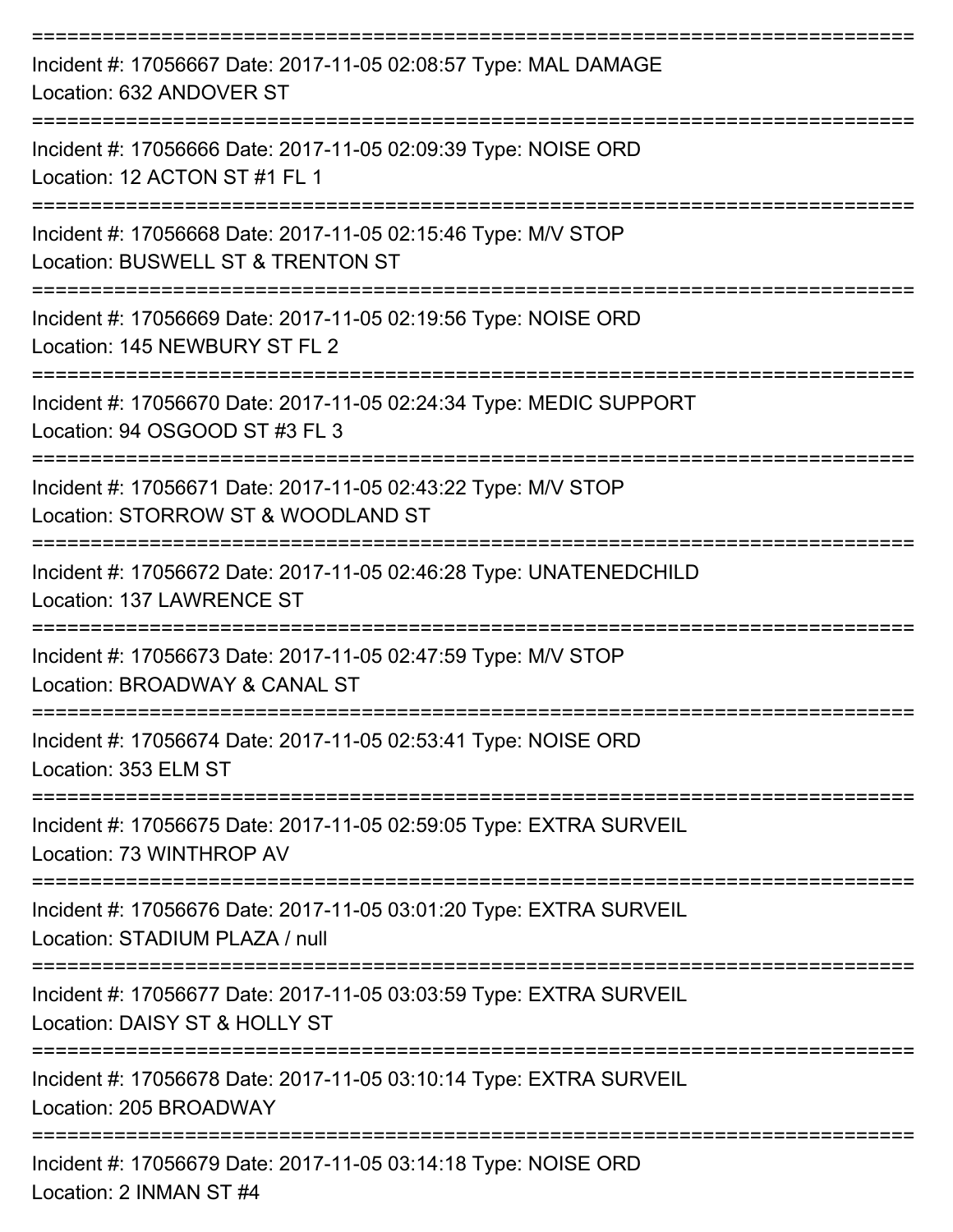| Incident #: 17056667 Date: 2017-11-05 02:08:57 Type: MAL DAMAGE<br>Location: 632 ANDOVER ST                              |
|--------------------------------------------------------------------------------------------------------------------------|
| Incident #: 17056666 Date: 2017-11-05 02:09:39 Type: NOISE ORD<br>Location: 12 ACTON ST #1 FL 1                          |
| Incident #: 17056668 Date: 2017-11-05 02:15:46 Type: M/V STOP<br>Location: BUSWELL ST & TRENTON ST                       |
| Incident #: 17056669 Date: 2017-11-05 02:19:56 Type: NOISE ORD<br>Location: 145 NEWBURY ST FL 2                          |
| Incident #: 17056670 Date: 2017-11-05 02:24:34 Type: MEDIC SUPPORT<br>Location: 94 OSGOOD ST #3 FL 3                     |
| Incident #: 17056671 Date: 2017-11-05 02:43:22 Type: M/V STOP<br>Location: STORROW ST & WOODLAND ST                      |
| Incident #: 17056672 Date: 2017-11-05 02:46:28 Type: UNATENEDCHILD<br>Location: 137 LAWRENCE ST                          |
| Incident #: 17056673 Date: 2017-11-05 02:47:59 Type: M/V STOP<br>Location: BROADWAY & CANAL ST                           |
| Incident #: 17056674 Date: 2017-11-05 02:53:41 Type: NOISE ORD<br>Location: 353 ELM ST                                   |
| :=====================<br>Incident #: 17056675 Date: 2017-11-05 02:59:05 Type: EXTRA SURVEIL<br>Location: 73 WINTHROP AV |
| Incident #: 17056676 Date: 2017-11-05 03:01:20 Type: EXTRA SURVEIL<br>Location: STADIUM PLAZA / null                     |
| Incident #: 17056677 Date: 2017-11-05 03:03:59 Type: EXTRA SURVEIL<br>Location: DAISY ST & HOLLY ST                      |
| Incident #: 17056678 Date: 2017-11-05 03:10:14 Type: EXTRA SURVEIL<br>Location: 205 BROADWAY                             |
| Incident #: 17056679 Date: 2017-11-05 03:14:18 Type: NOISE ORD<br>Location: 2 INMAN ST #4                                |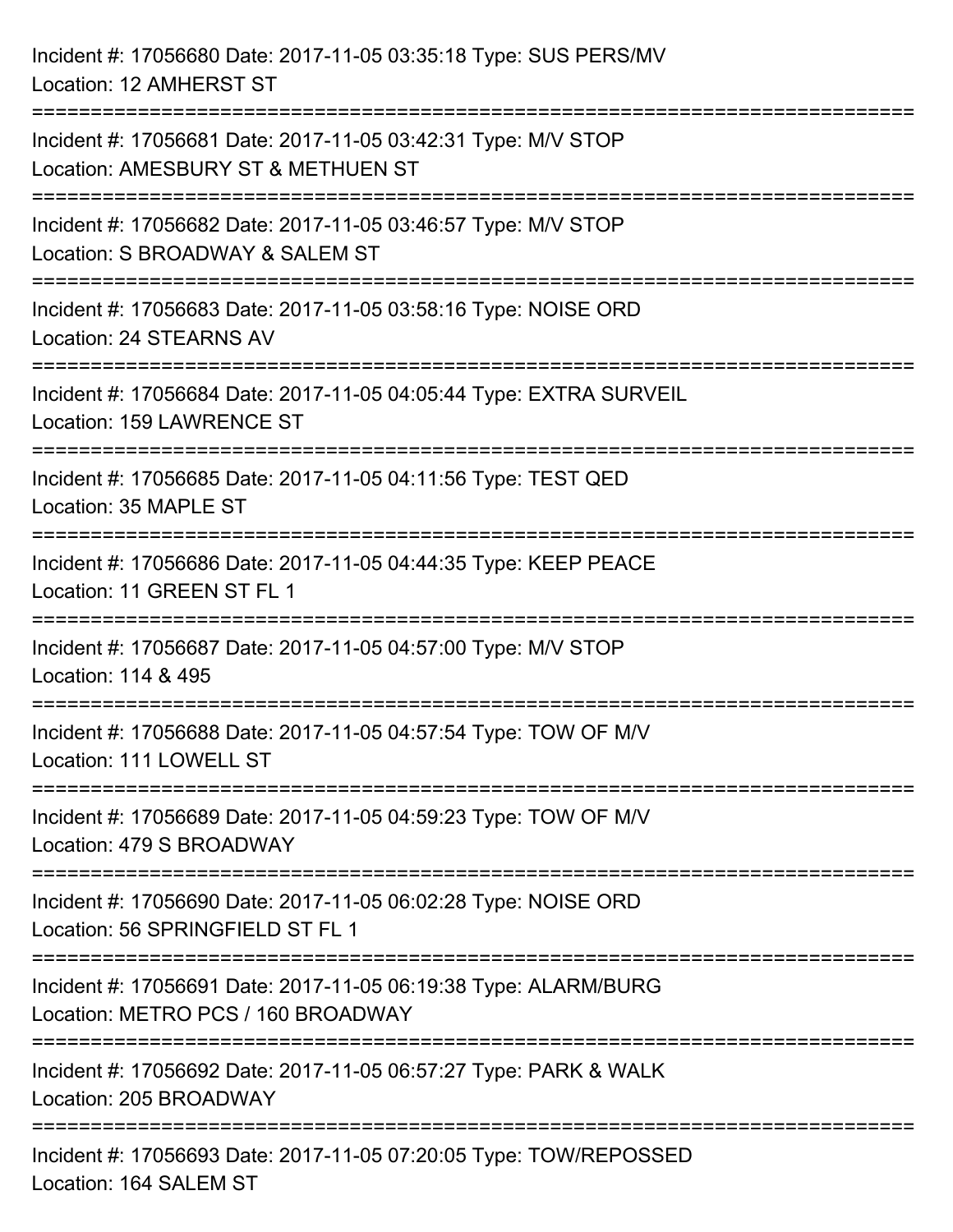| Incident #: 17056680 Date: 2017-11-05 03:35:18 Type: SUS PERS/MV<br>Location: 12 AMHERST ST                                   |
|-------------------------------------------------------------------------------------------------------------------------------|
| Incident #: 17056681 Date: 2017-11-05 03:42:31 Type: M/V STOP<br>Location: AMESBURY ST & METHUEN ST                           |
| Incident #: 17056682 Date: 2017-11-05 03:46:57 Type: M/V STOP<br>Location: S BROADWAY & SALEM ST                              |
| ;===============================<br>Incident #: 17056683 Date: 2017-11-05 03:58:16 Type: NOISE ORD<br>Location: 24 STEARNS AV |
| Incident #: 17056684 Date: 2017-11-05 04:05:44 Type: EXTRA SURVEIL<br>Location: 159 LAWRENCE ST                               |
| ===================<br>Incident #: 17056685 Date: 2017-11-05 04:11:56 Type: TEST QED<br>Location: 35 MAPLE ST                 |
| Incident #: 17056686 Date: 2017-11-05 04:44:35 Type: KEEP PEACE<br>Location: 11 GREEN ST FL 1                                 |
| Incident #: 17056687 Date: 2017-11-05 04:57:00 Type: M/V STOP<br>Location: 114 & 495                                          |
| Incident #: 17056688 Date: 2017-11-05 04:57:54 Type: TOW OF M/V<br>Location: 111 LOWELL ST                                    |
| Incident #: 17056689 Date: 2017-11-05 04:59:23 Type: TOW OF M/V<br>Location: 479 S BROADWAY                                   |
| Incident #: 17056690 Date: 2017-11-05 06:02:28 Type: NOISE ORD<br>Location: 56 SPRINGFIELD ST FL 1                            |
| Incident #: 17056691 Date: 2017-11-05 06:19:38 Type: ALARM/BURG<br>Location: METRO PCS / 160 BROADWAY                         |
| Incident #: 17056692 Date: 2017-11-05 06:57:27 Type: PARK & WALK<br>Location: 205 BROADWAY                                    |
| Incident #: 17056693 Date: 2017-11-05 07:20:05 Type: TOW/REPOSSED<br>Location: 164 SALEM ST                                   |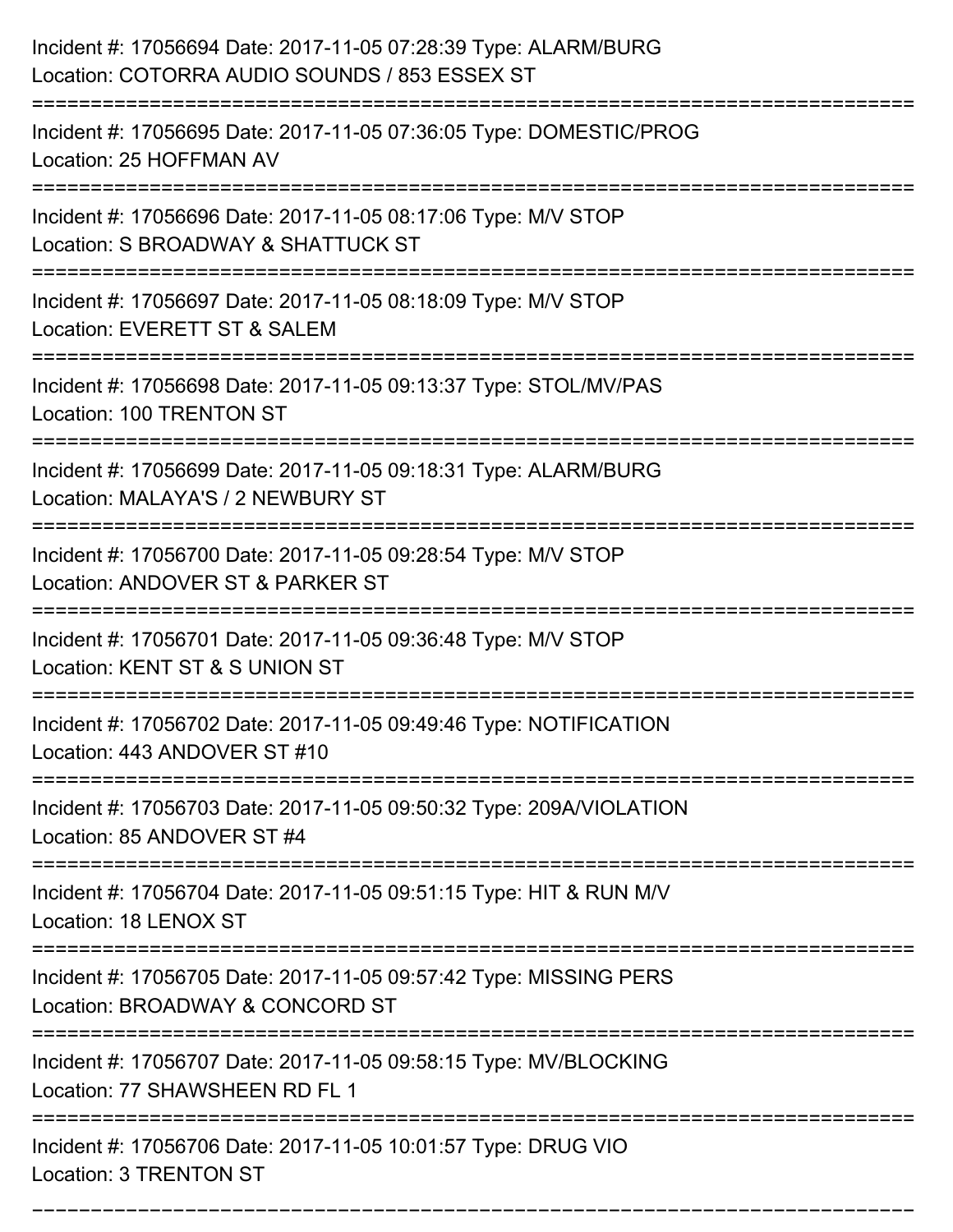| Incident #: 17056694 Date: 2017-11-05 07:28:39 Type: ALARM/BURG<br>Location: COTORRA AUDIO SOUNDS / 853 ESSEX ST                          |
|-------------------------------------------------------------------------------------------------------------------------------------------|
| Incident #: 17056695 Date: 2017-11-05 07:36:05 Type: DOMESTIC/PROG<br>Location: 25 HOFFMAN AV                                             |
| Incident #: 17056696 Date: 2017-11-05 08:17:06 Type: M/V STOP<br>Location: S BROADWAY & SHATTUCK ST<br>:=========================         |
| Incident #: 17056697 Date: 2017-11-05 08:18:09 Type: M/V STOP<br>Location: EVERETT ST & SALEM                                             |
| Incident #: 17056698 Date: 2017-11-05 09:13:37 Type: STOL/MV/PAS<br><b>Location: 100 TRENTON ST</b>                                       |
| Incident #: 17056699 Date: 2017-11-05 09:18:31 Type: ALARM/BURG<br>Location: MALAYA'S / 2 NEWBURY ST                                      |
| Incident #: 17056700 Date: 2017-11-05 09:28:54 Type: M/V STOP<br>Location: ANDOVER ST & PARKER ST                                         |
| Incident #: 17056701 Date: 2017-11-05 09:36:48 Type: M/V STOP<br>Location: KENT ST & S UNION ST                                           |
| Incident #: 17056702 Date: 2017-11-05 09:49:46 Type: NOTIFICATION<br>Location: 443 ANDOVER ST #10                                         |
| Incident #: 17056703 Date: 2017-11-05 09:50:32 Type: 209A/VIOLATION<br>Location: 85 ANDOVER ST #4<br>==================================== |
| Incident #: 17056704 Date: 2017-11-05 09:51:15 Type: HIT & RUN M/V<br>Location: 18 LENOX ST                                               |
| Incident #: 17056705 Date: 2017-11-05 09:57:42 Type: MISSING PERS<br>Location: BROADWAY & CONCORD ST                                      |
| Incident #: 17056707 Date: 2017-11-05 09:58:15 Type: MV/BLOCKING<br>Location: 77 SHAWSHEEN RD FL 1                                        |
| Incident #: 17056706 Date: 2017-11-05 10:01:57 Type: DRUG VIO<br>Location: 3 TRENTON ST                                                   |

===========================================================================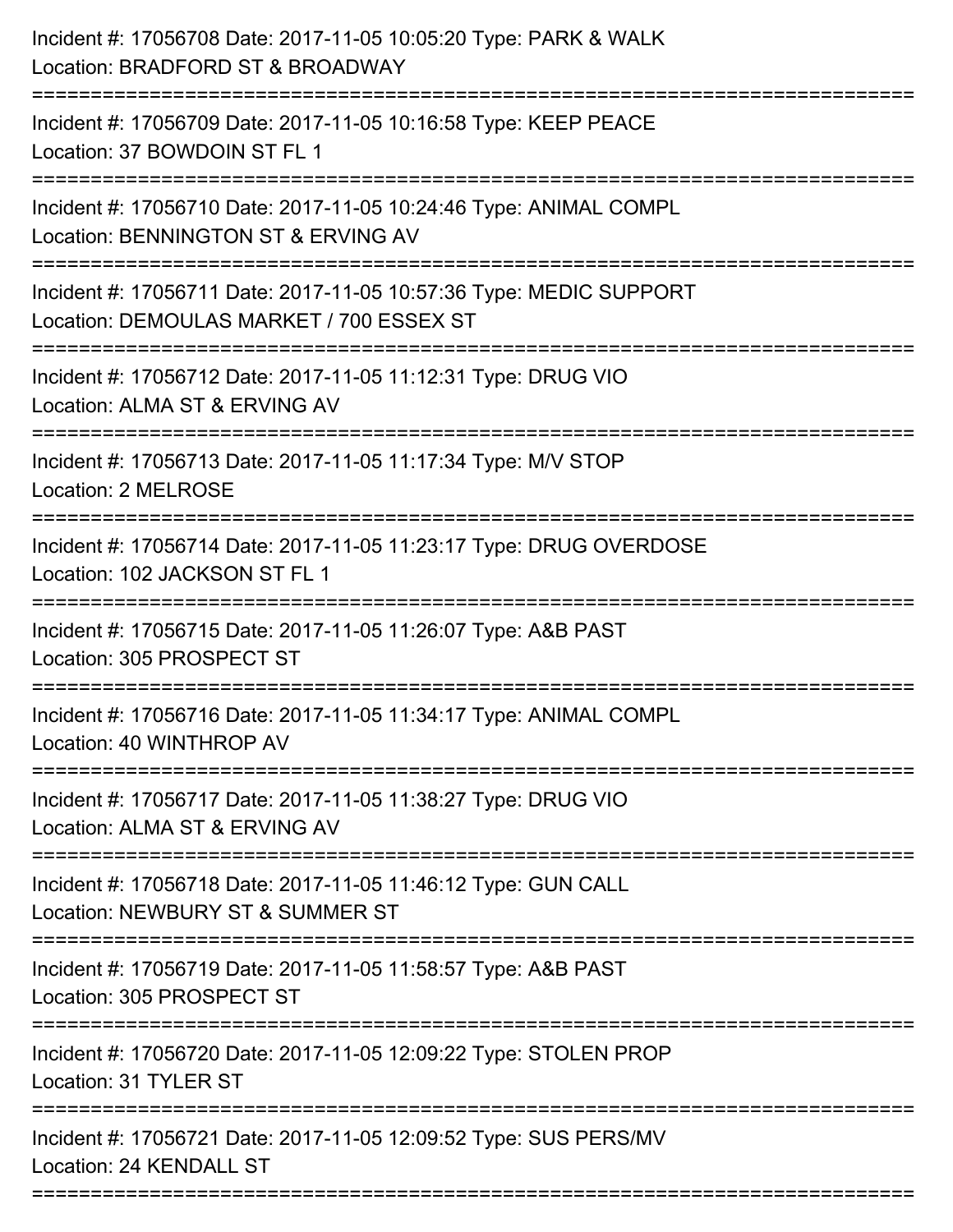| Incident #: 17056708 Date: 2017-11-05 10:05:20 Type: PARK & WALK<br>Location: BRADFORD ST & BROADWAY                             |
|----------------------------------------------------------------------------------------------------------------------------------|
| Incident #: 17056709 Date: 2017-11-05 10:16:58 Type: KEEP PEACE<br>Location: 37 BOWDOIN ST FL 1                                  |
| Incident #: 17056710 Date: 2017-11-05 10:24:46 Type: ANIMAL COMPL<br>Location: BENNINGTON ST & ERVING AV                         |
| Incident #: 17056711 Date: 2017-11-05 10:57:36 Type: MEDIC SUPPORT<br>Location: DEMOULAS MARKET / 700 ESSEX ST                   |
| Incident #: 17056712 Date: 2017-11-05 11:12:31 Type: DRUG VIO<br>Location: ALMA ST & ERVING AV<br>:=====================         |
| Incident #: 17056713 Date: 2017-11-05 11:17:34 Type: M/V STOP<br>Location: 2 MELROSE                                             |
| Incident #: 17056714 Date: 2017-11-05 11:23:17 Type: DRUG OVERDOSE<br>Location: 102 JACKSON ST FL 1                              |
| Incident #: 17056715 Date: 2017-11-05 11:26:07 Type: A&B PAST<br>Location: 305 PROSPECT ST                                       |
| Incident #: 17056716 Date: 2017-11-05 11:34:17 Type: ANIMAL COMPL<br>Location: 40 WINTHROP AV                                    |
| Incident #: 17056717 Date: 2017-11-05 11:38:27 Type: DRUG VIO<br>Location: ALMA ST & ERVING AV                                   |
| Incident #: 17056718 Date: 2017-11-05 11:46:12 Type: GUN CALL<br>Location: NEWBURY ST & SUMMER ST                                |
| Incident #: 17056719 Date: 2017-11-05 11:58:57 Type: A&B PAST<br>Location: 305 PROSPECT ST                                       |
| ===================================<br>Incident #: 17056720 Date: 2017-11-05 12:09:22 Type: STOLEN PROP<br>Location: 31 TYLER ST |
| --------------------------<br>Incident #: 17056721 Date: 2017-11-05 12:09:52 Type: SUS PERS/MV<br>Location: 24 KENDALL ST        |
|                                                                                                                                  |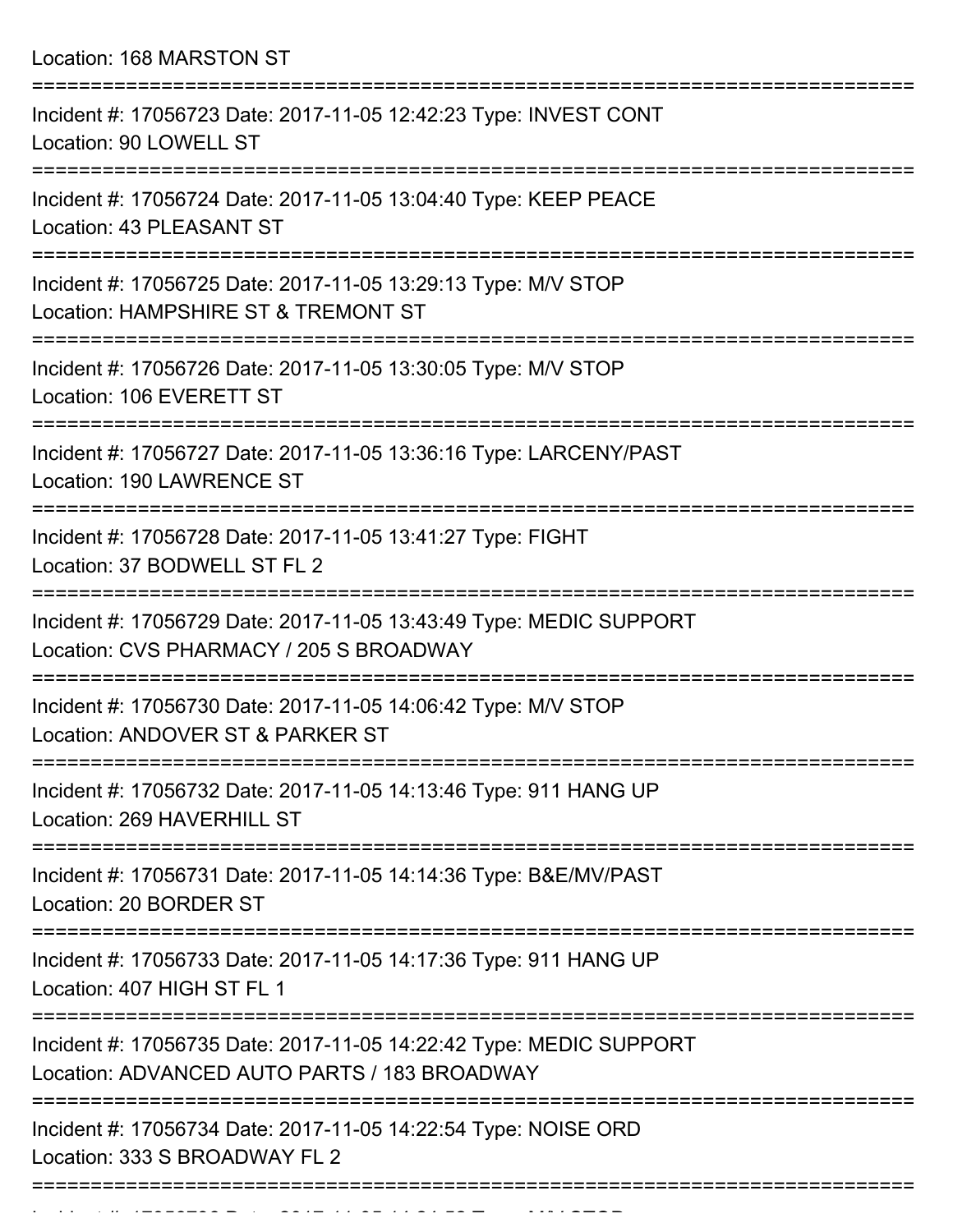Location: 168 MARSTON ST

| Incident #: 17056723 Date: 2017-11-05 12:42:23 Type: INVEST CONT<br>Location: 90 LOWELL ST                         |
|--------------------------------------------------------------------------------------------------------------------|
| Incident #: 17056724 Date: 2017-11-05 13:04:40 Type: KEEP PEACE<br>Location: 43 PLEASANT ST                        |
| Incident #: 17056725 Date: 2017-11-05 13:29:13 Type: M/V STOP<br>Location: HAMPSHIRE ST & TREMONT ST               |
| Incident #: 17056726 Date: 2017-11-05 13:30:05 Type: M/V STOP<br>Location: 106 EVERETT ST                          |
| Incident #: 17056727 Date: 2017-11-05 13:36:16 Type: LARCENY/PAST<br>Location: 190 LAWRENCE ST                     |
| Incident #: 17056728 Date: 2017-11-05 13:41:27 Type: FIGHT<br>Location: 37 BODWELL ST FL 2                         |
| Incident #: 17056729 Date: 2017-11-05 13:43:49 Type: MEDIC SUPPORT<br>Location: CVS PHARMACY / 205 S BROADWAY      |
| Incident #: 17056730 Date: 2017-11-05 14:06:42 Type: M/V STOP<br>Location: ANDOVER ST & PARKER ST                  |
| Incident #: 17056732 Date: 2017-11-05 14:13:46 Type: 911 HANG UP<br>Location: 269 HAVERHILL ST                     |
| Incident #: 17056731 Date: 2017-11-05 14:14:36 Type: B&E/MV/PAST<br>Location: 20 BORDER ST                         |
| Incident #: 17056733 Date: 2017-11-05 14:17:36 Type: 911 HANG UP<br>Location: 407 HIGH ST FL 1                     |
| Incident #: 17056735 Date: 2017-11-05 14:22:42 Type: MEDIC SUPPORT<br>Location: ADVANCED AUTO PARTS / 183 BROADWAY |
| Incident #: 17056734 Date: 2017-11-05 14:22:54 Type: NOISE ORD<br>Location: 333 S BROADWAY FL 2                    |
|                                                                                                                    |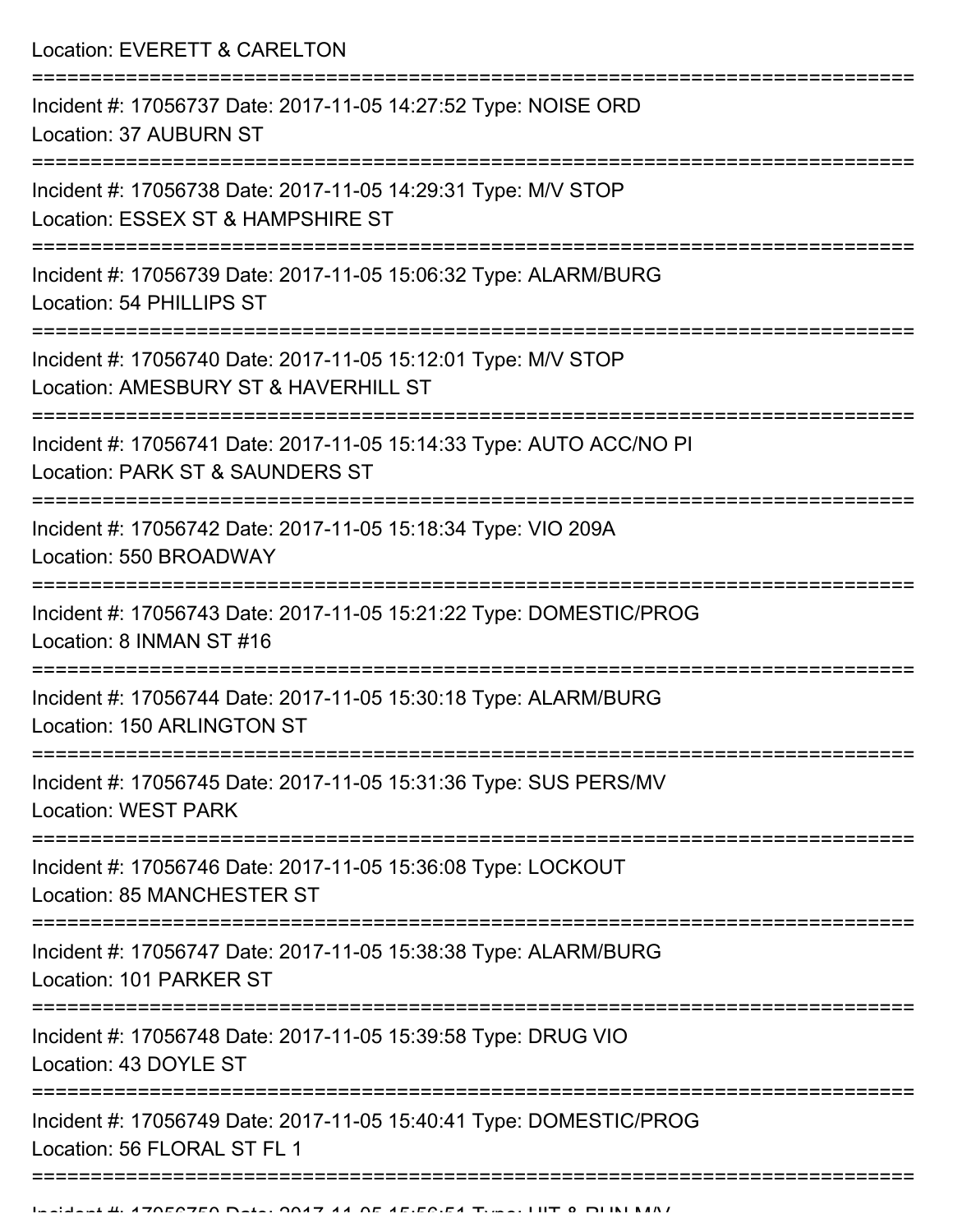Location: EVERETT & CARELTON

| Incident #: 17056737 Date: 2017-11-05 14:27:52 Type: NOISE ORD<br>Location: 37 AUBURN ST                             |
|----------------------------------------------------------------------------------------------------------------------|
| Incident #: 17056738 Date: 2017-11-05 14:29:31 Type: M/V STOP<br>Location: ESSEX ST & HAMPSHIRE ST                   |
| Incident #: 17056739 Date: 2017-11-05 15:06:32 Type: ALARM/BURG<br>Location: 54 PHILLIPS ST                          |
| Incident #: 17056740 Date: 2017-11-05 15:12:01 Type: M/V STOP<br>Location: AMESBURY ST & HAVERHILL ST                |
| Incident #: 17056741 Date: 2017-11-05 15:14:33 Type: AUTO ACC/NO PI<br>Location: PARK ST & SAUNDERS ST               |
| Incident #: 17056742 Date: 2017-11-05 15:18:34 Type: VIO 209A<br>Location: 550 BROADWAY                              |
| Incident #: 17056743 Date: 2017-11-05 15:21:22 Type: DOMESTIC/PROG<br>Location: 8 INMAN ST #16                       |
| Incident #: 17056744 Date: 2017-11-05 15:30:18 Type: ALARM/BURG<br>Location: 150 ARLINGTON ST                        |
| Incident #: 17056745 Date: 2017-11-05 15:31:36 Type: SUS PERS/MV<br><b>Location: WEST PARK</b><br>------------------ |
| Incident #: 17056746 Date: 2017-11-05 15:36:08 Type: LOCKOUT<br><b>Location: 85 MANCHESTER ST</b>                    |
| Incident #: 17056747 Date: 2017-11-05 15:38:38 Type: ALARM/BURG<br>Location: 101 PARKER ST                           |
| Incident #: 17056748 Date: 2017-11-05 15:39:58 Type: DRUG VIO<br>Location: 43 DOYLE ST                               |
| Incident #: 17056749 Date: 2017-11-05 15:40:41 Type: DOMESTIC/PROG<br>Location: 56 FLORAL ST FL 1                    |
|                                                                                                                      |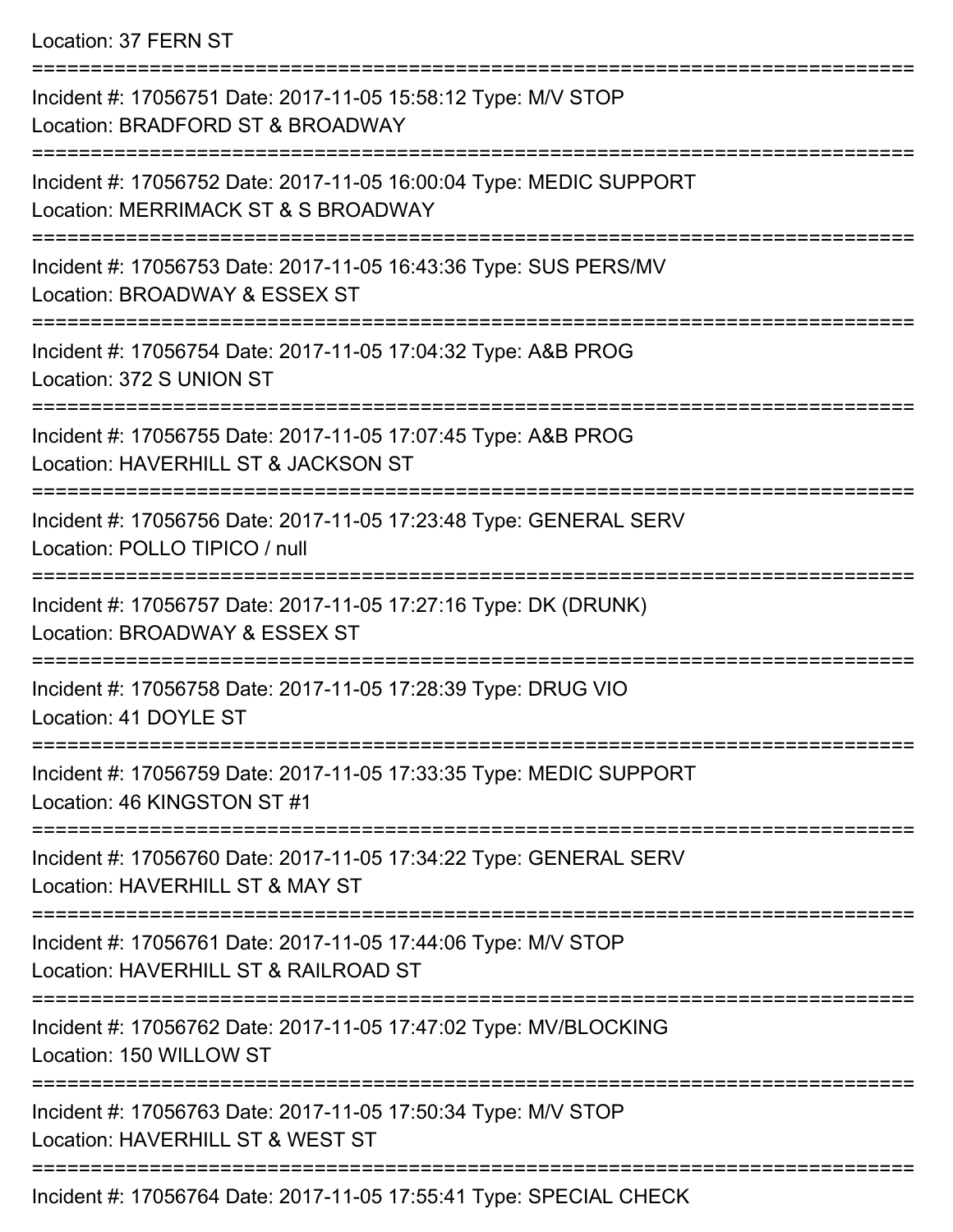Location: 37 FERN ST

=========================================================================== Incident #: 17056751 Date: 2017-11-05 15:58:12 Type: M/V STOP Location: BRADFORD ST & BROADWAY =========================================================================== Incident #: 17056752 Date: 2017-11-05 16:00:04 Type: MEDIC SUPPORT Location: MERRIMACK ST & S BROADWAY =========================================================================== Incident #: 17056753 Date: 2017-11-05 16:43:36 Type: SUS PERS/MV Location: BROADWAY & ESSEX ST =========================================================================== Incident #: 17056754 Date: 2017-11-05 17:04:32 Type: A&B PROG Location: 372 S UNION ST =========================================================================== Incident #: 17056755 Date: 2017-11-05 17:07:45 Type: A&B PROG Location: HAVERHILL ST & JACKSON ST =========================================================================== Incident #: 17056756 Date: 2017-11-05 17:23:48 Type: GENERAL SERV Location: POLLO TIPICO / null =========================================================================== Incident #: 17056757 Date: 2017-11-05 17:27:16 Type: DK (DRUNK) Location: BROADWAY & ESSEX ST =========================================================================== Incident #: 17056758 Date: 2017-11-05 17:28:39 Type: DRUG VIO Location: 41 DOYLE ST =========================================================================== Incident #: 17056759 Date: 2017-11-05 17:33:35 Type: MEDIC SUPPORT Location: 46 KINGSTON ST #1 =========================================================================== Incident #: 17056760 Date: 2017-11-05 17:34:22 Type: GENERAL SERV Location: HAVERHILL ST & MAY ST =========================================================================== Incident #: 17056761 Date: 2017-11-05 17:44:06 Type: M/V STOP Location: HAVERHILL ST & RAILROAD ST =========================================================================== Incident #: 17056762 Date: 2017-11-05 17:47:02 Type: MV/BLOCKING Location: 150 WILLOW ST =========================================================================== Incident #: 17056763 Date: 2017-11-05 17:50:34 Type: M/V STOP Location: HAVERHILL ST & WEST ST =========================================================================== Incident #: 17056764 Date: 2017-11-05 17:55:41 Type: SPECIAL CHECK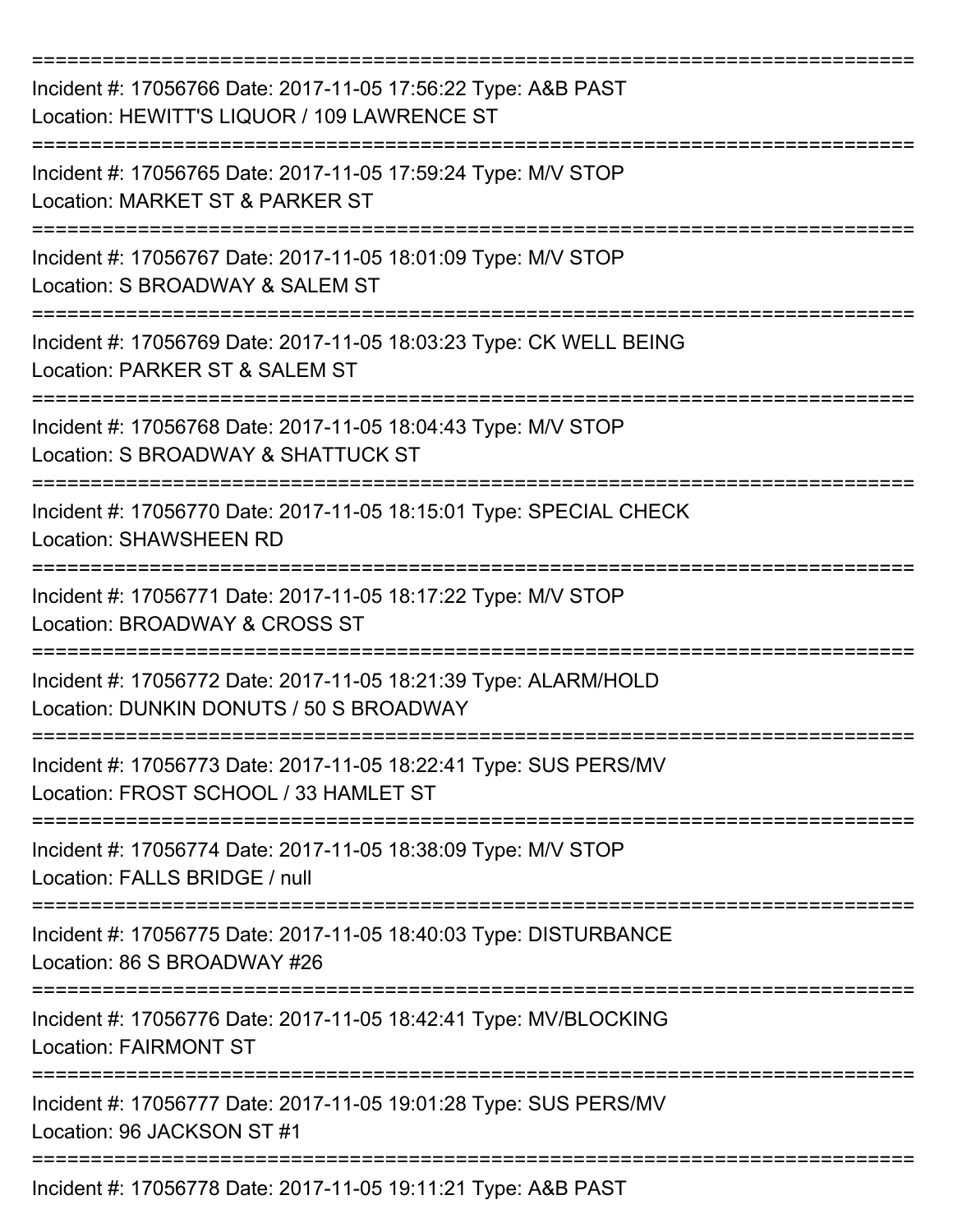| Incident #: 17056766 Date: 2017-11-05 17:56:22 Type: A&B PAST<br>Location: HEWITT'S LIQUOR / 109 LAWRENCE ST |
|--------------------------------------------------------------------------------------------------------------|
| Incident #: 17056765 Date: 2017-11-05 17:59:24 Type: M/V STOP<br>Location: MARKET ST & PARKER ST             |
| Incident #: 17056767 Date: 2017-11-05 18:01:09 Type: M/V STOP<br>Location: S BROADWAY & SALEM ST             |
| Incident #: 17056769 Date: 2017-11-05 18:03:23 Type: CK WELL BEING<br>Location: PARKER ST & SALEM ST         |
| Incident #: 17056768 Date: 2017-11-05 18:04:43 Type: M/V STOP<br>Location: S BROADWAY & SHATTUCK ST          |
| Incident #: 17056770 Date: 2017-11-05 18:15:01 Type: SPECIAL CHECK<br><b>Location: SHAWSHEEN RD</b>          |
| Incident #: 17056771 Date: 2017-11-05 18:17:22 Type: M/V STOP<br>Location: BROADWAY & CROSS ST               |
| Incident #: 17056772 Date: 2017-11-05 18:21:39 Type: ALARM/HOLD<br>Location: DUNKIN DONUTS / 50 S BROADWAY   |
| Incident #: 17056773 Date: 2017-11-05 18:22:41 Type: SUS PERS/MV<br>Location: FROST SCHOOL / 33 HAMLET ST    |
| Incident #: 17056774 Date: 2017-11-05 18:38:09 Type: M/V STOP<br>Location: FALLS BRIDGE / null               |
| Incident #: 17056775 Date: 2017-11-05 18:40:03 Type: DISTURBANCE<br>Location: 86 S BROADWAY #26              |
| Incident #: 17056776 Date: 2017-11-05 18:42:41 Type: MV/BLOCKING<br><b>Location: FAIRMONT ST</b>             |
| Incident #: 17056777 Date: 2017-11-05 19:01:28 Type: SUS PERS/MV<br>Location: 96 JACKSON ST #1               |
| Incident #: 17056778 Date: 2017-11-05 19:11:21 Type: A&B PAST                                                |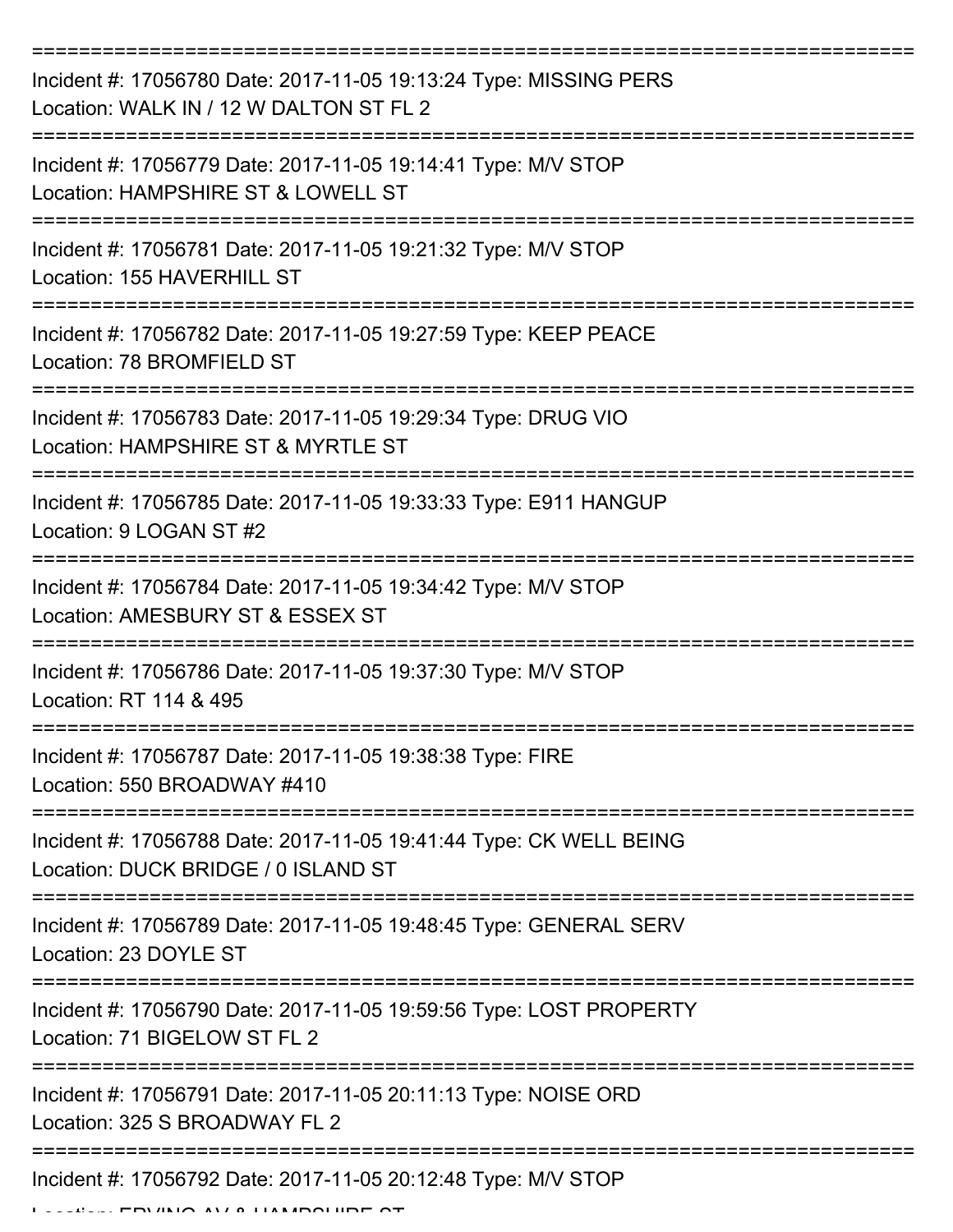| Incident #: 17056780 Date: 2017-11-05 19:13:24 Type: MISSING PERS<br>Location: WALK IN / 12 W DALTON ST FL 2 |
|--------------------------------------------------------------------------------------------------------------|
| Incident #: 17056779 Date: 2017-11-05 19:14:41 Type: M/V STOP<br>Location: HAMPSHIRE ST & LOWELL ST          |
| Incident #: 17056781 Date: 2017-11-05 19:21:32 Type: M/V STOP<br>Location: 155 HAVERHILL ST                  |
| Incident #: 17056782 Date: 2017-11-05 19:27:59 Type: KEEP PEACE<br>Location: 78 BROMFIELD ST                 |
| Incident #: 17056783 Date: 2017-11-05 19:29:34 Type: DRUG VIO<br>Location: HAMPSHIRE ST & MYRTLE ST          |
| Incident #: 17056785 Date: 2017-11-05 19:33:33 Type: E911 HANGUP<br>Location: 9 LOGAN ST #2                  |
| Incident #: 17056784 Date: 2017-11-05 19:34:42 Type: M/V STOP<br>Location: AMESBURY ST & ESSEX ST            |
| Incident #: 17056786 Date: 2017-11-05 19:37:30 Type: M/V STOP<br>Location: RT 114 & 495                      |
| Incident #: 17056787 Date: 2017-11-05 19:38:38 Type: FIRE<br>Location: 550 BROADWAY #410                     |
| Incident #: 17056788 Date: 2017-11-05 19:41:44 Type: CK WELL BEING<br>Location: DUCK BRIDGE / 0 ISLAND ST    |
| Incident #: 17056789 Date: 2017-11-05 19:48:45 Type: GENERAL SERV<br>Location: 23 DOYLE ST                   |
| Incident #: 17056790 Date: 2017-11-05 19:59:56 Type: LOST PROPERTY<br>Location: 71 BIGELOW ST FL 2           |
| Incident #: 17056791 Date: 2017-11-05 20:11:13 Type: NOISE ORD<br>Location: 325 S BROADWAY FL 2              |
| Incident #: 17056792 Date: 2017-11-05 20:12:48 Type: M/V STOP<br><b>FOURO AU A HAMPOHIDE OT</b>              |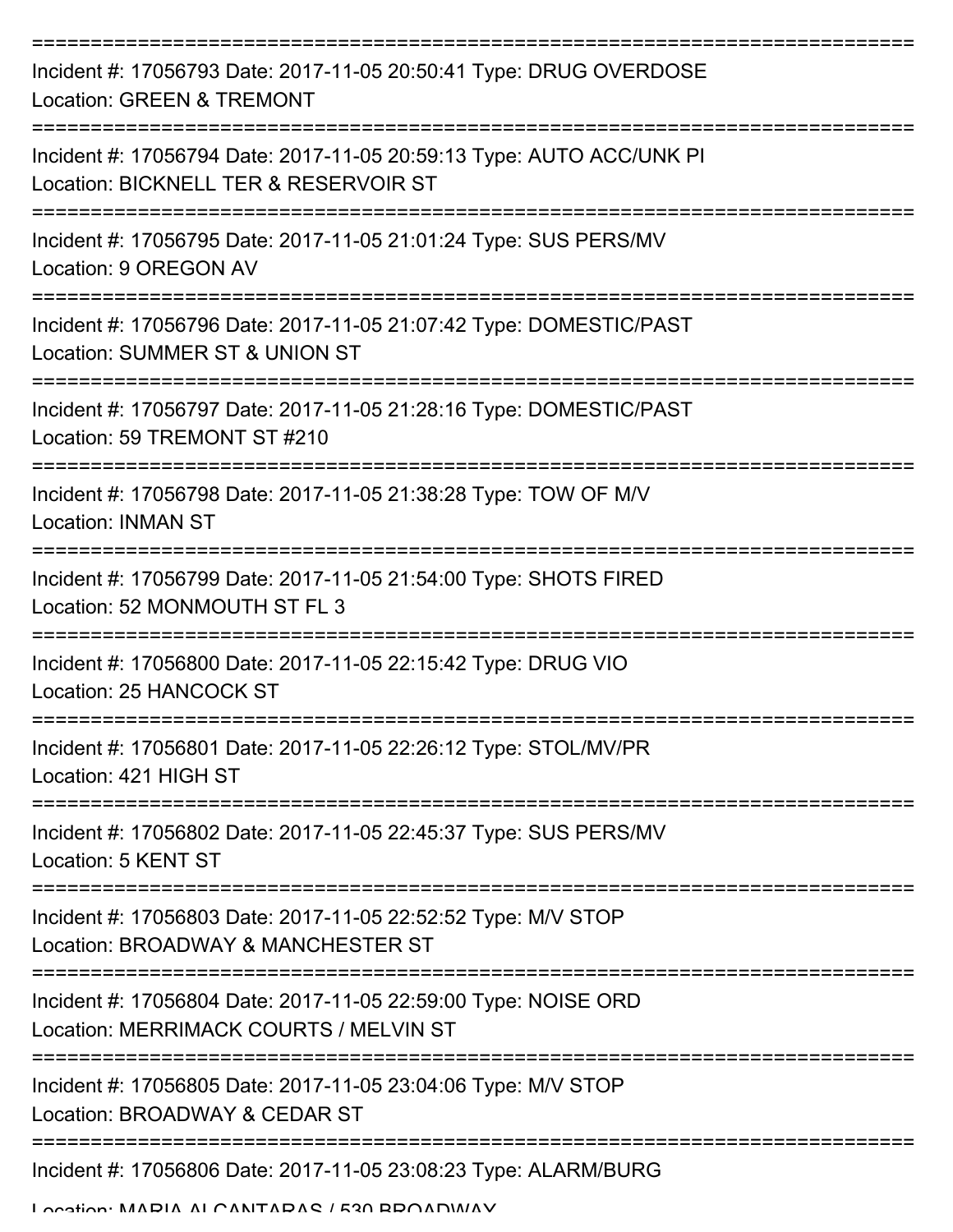| Incident #: 17056793 Date: 2017-11-05 20:50:41 Type: DRUG OVERDOSE<br><b>Location: GREEN &amp; TREMONT</b>     |
|----------------------------------------------------------------------------------------------------------------|
| Incident #: 17056794 Date: 2017-11-05 20:59:13 Type: AUTO ACC/UNK PI<br>Location: BICKNELL TER & RESERVOIR ST  |
| Incident #: 17056795 Date: 2017-11-05 21:01:24 Type: SUS PERS/MV<br>Location: 9 OREGON AV                      |
| Incident #: 17056796 Date: 2017-11-05 21:07:42 Type: DOMESTIC/PAST<br>Location: SUMMER ST & UNION ST           |
| Incident #: 17056797 Date: 2017-11-05 21:28:16 Type: DOMESTIC/PAST<br>Location: 59 TREMONT ST #210             |
| Incident #: 17056798 Date: 2017-11-05 21:38:28 Type: TOW OF M/V<br><b>Location: INMAN ST</b>                   |
| Incident #: 17056799 Date: 2017-11-05 21:54:00 Type: SHOTS FIRED<br>Location: 52 MONMOUTH ST FL 3              |
| Incident #: 17056800 Date: 2017-11-05 22:15:42 Type: DRUG VIO<br>Location: 25 HANCOCK ST                       |
| Incident #: 17056801 Date: 2017-11-05 22:26:12 Type: STOL/MV/PR<br>Location: 421 HIGH ST                       |
| ===================<br>Incident #: 17056802 Date: 2017-11-05 22:45:37 Type: SUS PERS/MV<br>Location: 5 KENT ST |
| Incident #: 17056803 Date: 2017-11-05 22:52:52 Type: M/V STOP<br>Location: BROADWAY & MANCHESTER ST            |
| Incident #: 17056804 Date: 2017-11-05 22:59:00 Type: NOISE ORD<br>Location: MERRIMACK COURTS / MELVIN ST       |
| Incident #: 17056805 Date: 2017-11-05 23:04:06 Type: M/V STOP<br>Location: BROADWAY & CEDAR ST                 |
| Incident #: 17056806 Date: 2017-11-05 23:08:23 Type: ALARM/BURG                                                |

Location: MARIA ALCANTARAS / 530 BROADWAY